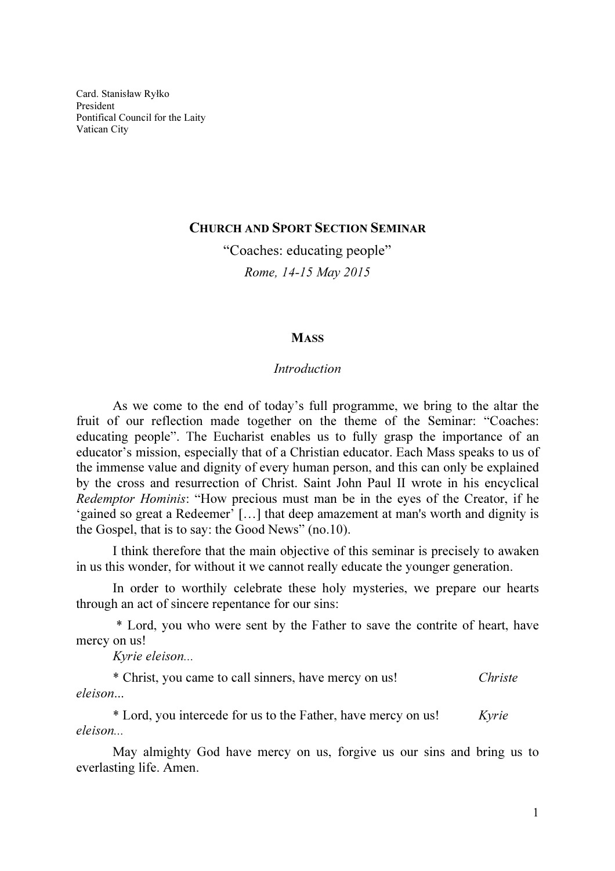Card. Stanisław Ryłko President Pontifical Council for the Laity Vatican City

## CHURCH AND SPORT SECTION SEMINAR

"Coaches: educating people" Rome, 14-15 May 2015

## **MASS**

## Introduction

As we come to the end of today's full programme, we bring to the altar the fruit of our reflection made together on the theme of the Seminar: "Coaches: educating people". The Eucharist enables us to fully grasp the importance of an educator's mission, especially that of a Christian educator. Each Mass speaks to us of the immense value and dignity of every human person, and this can only be explained by the cross and resurrection of Christ. Saint John Paul II wrote in his encyclical Redemptor Hominis: "How precious must man be in the eyes of the Creator, if he 'gained so great a Redeemer' […] that deep amazement at man's worth and dignity is the Gospel, that is to say: the Good News" (no.10).

I think therefore that the main objective of this seminar is precisely to awaken in us this wonder, for without it we cannot really educate the younger generation.

In order to worthily celebrate these holy mysteries, we prepare our hearts through an act of sincere repentance for our sins:

 \* Lord, you who were sent by the Father to save the contrite of heart, have mercy on us!

Kyrie eleison...

\* Christ, you came to call sinners, have mercy on us! Christe eleison...

\* Lord, you intercede for us to the Father, have mercy on us! Kyrie eleison...

May almighty God have mercy on us, forgive us our sins and bring us to everlasting life. Amen.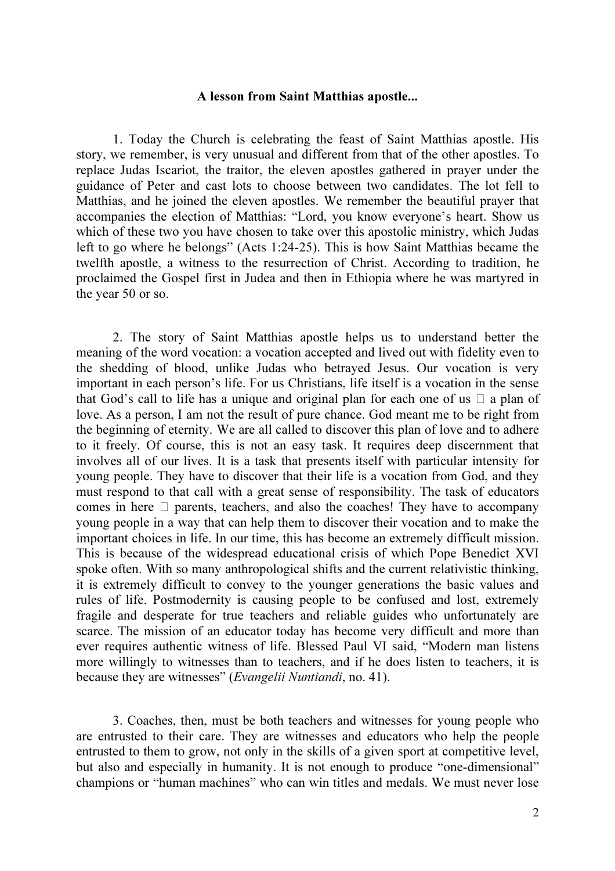## A lesson from Saint Matthias apostle...

1. Today the Church is celebrating the feast of Saint Matthias apostle. His story, we remember, is very unusual and different from that of the other apostles. To replace Judas Iscariot, the traitor, the eleven apostles gathered in prayer under the guidance of Peter and cast lots to choose between two candidates. The lot fell to Matthias, and he joined the eleven apostles. We remember the beautiful prayer that accompanies the election of Matthias: "Lord, you know everyone's heart. Show us which of these two you have chosen to take over this apostolic ministry, which Judas left to go where he belongs" (Acts 1:24-25). This is how Saint Matthias became the twelfth apostle, a witness to the resurrection of Christ. According to tradition, he proclaimed the Gospel first in Judea and then in Ethiopia where he was martyred in the year 50 or so.

2. The story of Saint Matthias apostle helps us to understand better the meaning of the word vocation: a vocation accepted and lived out with fidelity even to the shedding of blood, unlike Judas who betrayed Jesus. Our vocation is very important in each person's life. For us Christians, life itself is a vocation in the sense that God's call to life has a unique and original plan for each one of us  $\Box$  a plan of love. As a person, I am not the result of pure chance. God meant me to be right from the beginning of eternity. We are all called to discover this plan of love and to adhere to it freely. Of course, this is not an easy task. It requires deep discernment that involves all of our lives. It is a task that presents itself with particular intensity for young people. They have to discover that their life is a vocation from God, and they must respond to that call with a great sense of responsibility. The task of educators comes in here  $\Box$  parents, teachers, and also the coaches! They have to accompany young people in a way that can help them to discover their vocation and to make the important choices in life. In our time, this has become an extremely difficult mission. This is because of the widespread educational crisis of which Pope Benedict XVI spoke often. With so many anthropological shifts and the current relativistic thinking, it is extremely difficult to convey to the younger generations the basic values and rules of life. Postmodernity is causing people to be confused and lost, extremely fragile and desperate for true teachers and reliable guides who unfortunately are scarce. The mission of an educator today has become very difficult and more than ever requires authentic witness of life. Blessed Paul VI said, "Modern man listens more willingly to witnesses than to teachers, and if he does listen to teachers, it is because they are witnesses" (*Evangelii Nuntiandi*, no. 41).

3. Coaches, then, must be both teachers and witnesses for young people who are entrusted to their care. They are witnesses and educators who help the people entrusted to them to grow, not only in the skills of a given sport at competitive level, but also and especially in humanity. It is not enough to produce "one-dimensional" champions or "human machines" who can win titles and medals. We must never lose